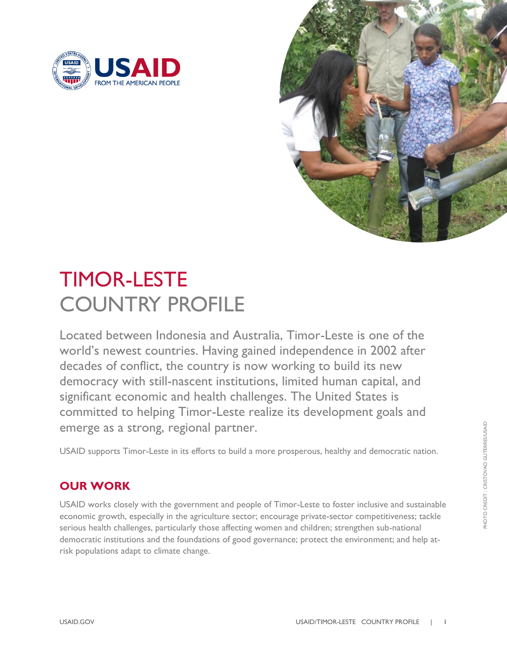



# TIMOR-LESTE COUNTRY PROFILE

Located between Indonesia and Australia, Timor-Leste is one of the world's newest countries. Having gained independence in 2002 after decades of conflict, the country is now working to build its new democracy with still-nascent institutions, limited human capital, and significant economic and health challenges. The United States is committed to helping Timor-Leste realize its development goals and emerge as a strong, regional partner.

USAID supports Timor-Leste in its efforts to build a more prosperous, healthy and democratic nation.

## **OUR WORK**

USAID works closely with the government and people of Timor-Leste to foster inclusive and sustainable economic growth, especially in the agriculture sector; encourage private-sector competitiveness; tackle serious health challenges, particularly those affecting women and children; strengthen sub-national democratic institutions and the foundations of good governance; protect the environment; and help atrisk populations adapt to climate change.